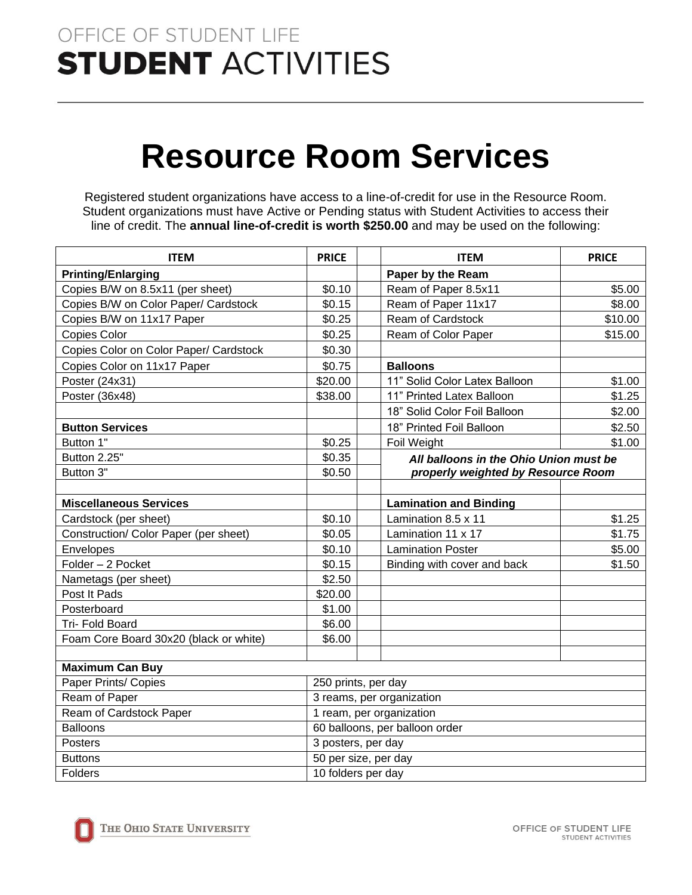## OFFICE OF STUDENT LIFE **STUDENT ACTIVITIES**

# **Resource Room Services**

Registered student organizations have access to a line-of-credit for use in the Resource Room. Student organizations must have Active or Pending status with Student Activities to access their line of credit. The **annual line-of-credit is worth \$250.00** and may be used on the following:

| <b>ITEM</b>                            | <b>PRICE</b>                   | <b>ITEM</b>                            | <b>PRICE</b> |  |
|----------------------------------------|--------------------------------|----------------------------------------|--------------|--|
| <b>Printing/Enlarging</b>              |                                | Paper by the Ream                      |              |  |
| Copies B/W on 8.5x11 (per sheet)       | \$0.10                         | Ream of Paper 8.5x11                   | \$5.00       |  |
| Copies B/W on Color Paper/ Cardstock   | \$0.15                         | Ream of Paper 11x17                    | \$8.00       |  |
| Copies B/W on 11x17 Paper              | \$0.25                         | Ream of Cardstock                      | \$10.00      |  |
| Copies Color                           | \$0.25                         | Ream of Color Paper                    | \$15.00      |  |
| Copies Color on Color Paper/ Cardstock | \$0.30                         |                                        |              |  |
| Copies Color on 11x17 Paper            | \$0.75                         | <b>Balloons</b>                        |              |  |
| Poster (24x31)                         | \$20.00                        | 11" Solid Color Latex Balloon          | \$1.00       |  |
| Poster (36x48)                         | \$38.00                        | 11" Printed Latex Balloon              | \$1.25       |  |
|                                        |                                | 18" Solid Color Foil Balloon           | \$2.00       |  |
| <b>Button Services</b>                 |                                | 18" Printed Foil Balloon               | \$2.50       |  |
| Button 1"                              | \$0.25                         | <b>Foil Weight</b>                     | \$1.00       |  |
| Button 2.25"                           | \$0.35                         | All balloons in the Ohio Union must be |              |  |
| Button 3"                              | \$0.50                         | properly weighted by Resource Room     |              |  |
|                                        |                                |                                        |              |  |
| <b>Miscellaneous Services</b>          |                                | <b>Lamination and Binding</b>          |              |  |
| Cardstock (per sheet)                  | \$0.10                         | Lamination $8.5 \times 11$             | \$1.25       |  |
| Construction/ Color Paper (per sheet)  | \$0.05                         | Lamination 11 x 17                     | \$1.75       |  |
| Envelopes                              | \$0.10                         | <b>Lamination Poster</b>               | \$5.00       |  |
| Folder - 2 Pocket                      | \$0.15                         | Binding with cover and back            | \$1.50       |  |
| Nametags (per sheet)                   | \$2.50                         |                                        |              |  |
| Post It Pads                           | \$20.00                        |                                        |              |  |
| Posterboard                            | \$1.00                         |                                        |              |  |
| Tri- Fold Board                        | \$6.00                         |                                        |              |  |
| Foam Core Board 30x20 (black or white) | \$6.00                         |                                        |              |  |
|                                        |                                |                                        |              |  |
| <b>Maximum Can Buy</b>                 |                                |                                        |              |  |
| Paper Prints/ Copies                   |                                | 250 prints, per day                    |              |  |
| Ream of Paper                          | 3 reams, per organization      |                                        |              |  |
| Ream of Cardstock Paper                | 1 ream, per organization       |                                        |              |  |
| <b>Balloons</b>                        | 60 balloons, per balloon order |                                        |              |  |
| Posters                                |                                | 3 posters, per day                     |              |  |
| <b>Buttons</b>                         |                                | 50 per size, per day                   |              |  |
| Folders                                |                                | 10 folders per day                     |              |  |